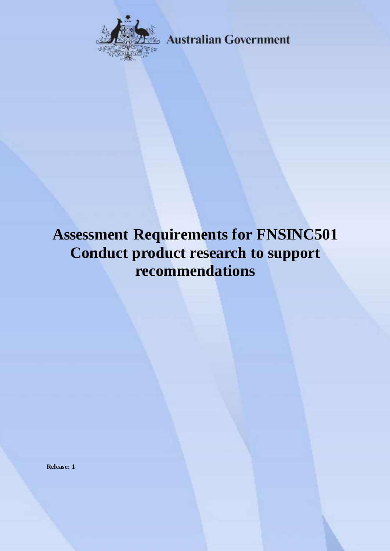

**Australian Government** 

# **Assessment Requirements for FNSINC501 Conduct product research to support recommendations**

**Release: 1**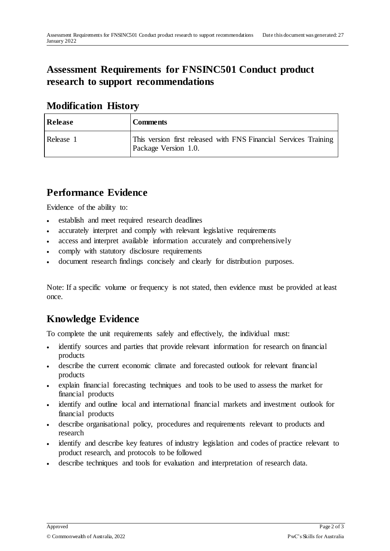## **Assessment Requirements for FNSINC501 Conduct product research to support recommendations**

#### **Modification History**

| <b>Release</b> | <b>Comments</b>                                                                          |
|----------------|------------------------------------------------------------------------------------------|
| Release 1      | This version first released with FNS Financial Services Training<br>Package Version 1.0. |

### **Performance Evidence**

Evidence of the ability to:

- establish and meet required research deadlines
- accurately interpret and comply with relevant legislative requirements
- access and interpret available information accurately and comprehensively
- comply with statutory disclosure requirements
- document research findings concisely and clearly for distribution purposes.

Note: If a specific volume or frequency is not stated, then evidence must be provided at least once.

## **Knowledge Evidence**

To complete the unit requirements safely and effectively, the individual must:

- identify sources and parties that provide relevant information for research on financial products
- describe the current economic climate and forecasted outlook for relevant financial products
- explain financial forecasting techniques and tools to be used to assess the market for financial products
- identify and outline local and international financial markets and investment outlook for financial products
- describe organisational policy, procedures and requirements relevant to products and research
- identify and describe key features of industry legislation and codes of practice relevant to product research, and protocols to be followed
- describe techniques and tools for evaluation and interpretation of research data.